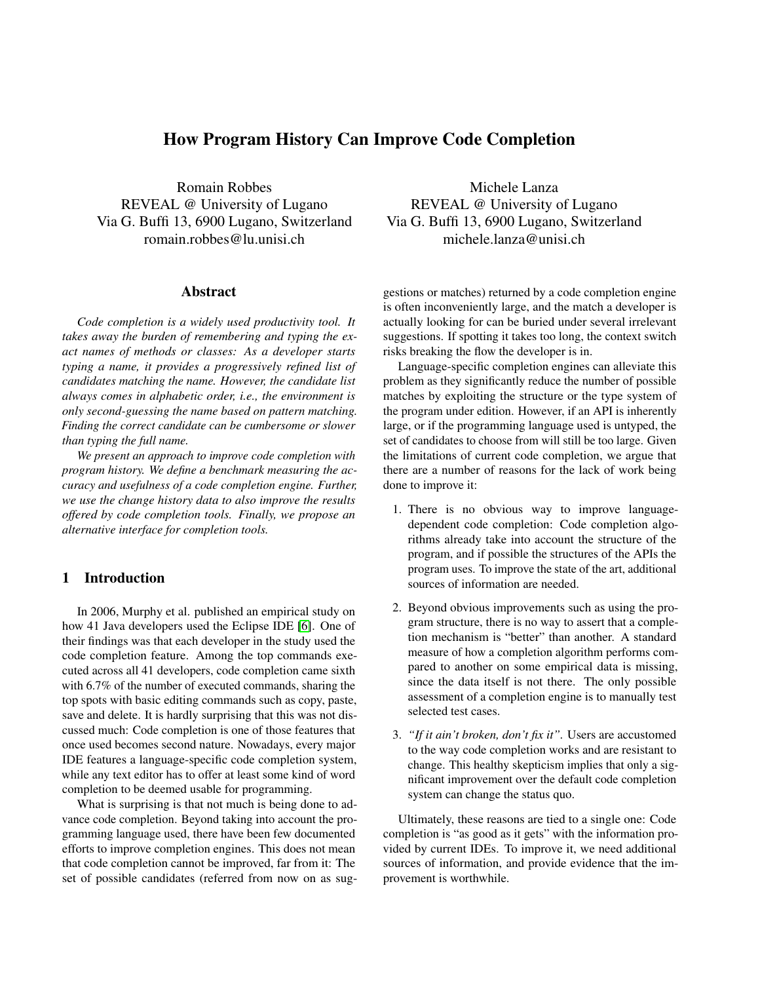# How Program History Can Improve Code Completion

Romain Robbes REVEAL @ University of Lugano Via G. Buffi 13, 6900 Lugano, Switzerland romain.robbes@lu.unisi.ch

## Abstract

*Code completion is a widely used productivity tool. It takes away the burden of remembering and typing the exact names of methods or classes: As a developer starts typing a name, it provides a progressively refined list of candidates matching the name. However, the candidate list always comes in alphabetic order, i.e., the environment is only second-guessing the name based on pattern matching. Finding the correct candidate can be cumbersome or slower than typing the full name.*

*We present an approach to improve code completion with program history. We define a benchmark measuring the accuracy and usefulness of a code completion engine. Further, we use the change history data to also improve the results offered by code completion tools. Finally, we propose an alternative interface for completion tools.*

## 1 Introduction

In 2006, Murphy et al. published an empirical study on how 41 Java developers used the Eclipse IDE [\[6\]](#page-9-0). One of their findings was that each developer in the study used the code completion feature. Among the top commands executed across all 41 developers, code completion came sixth with 6.7% of the number of executed commands, sharing the top spots with basic editing commands such as copy, paste, save and delete. It is hardly surprising that this was not discussed much: Code completion is one of those features that once used becomes second nature. Nowadays, every major IDE features a language-specific code completion system, while any text editor has to offer at least some kind of word completion to be deemed usable for programming.

What is surprising is that not much is being done to advance code completion. Beyond taking into account the programming language used, there have been few documented efforts to improve completion engines. This does not mean that code completion cannot be improved, far from it: The set of possible candidates (referred from now on as sug-

Michele Lanza REVEAL @ University of Lugano Via G. Buffi 13, 6900 Lugano, Switzerland michele.lanza@unisi.ch

gestions or matches) returned by a code completion engine is often inconveniently large, and the match a developer is actually looking for can be buried under several irrelevant suggestions. If spotting it takes too long, the context switch risks breaking the flow the developer is in.

Language-specific completion engines can alleviate this problem as they significantly reduce the number of possible matches by exploiting the structure or the type system of the program under edition. However, if an API is inherently large, or if the programming language used is untyped, the set of candidates to choose from will still be too large. Given the limitations of current code completion, we argue that there are a number of reasons for the lack of work being done to improve it:

- 1. There is no obvious way to improve languagedependent code completion: Code completion algorithms already take into account the structure of the program, and if possible the structures of the APIs the program uses. To improve the state of the art, additional sources of information are needed.
- 2. Beyond obvious improvements such as using the program structure, there is no way to assert that a completion mechanism is "better" than another. A standard measure of how a completion algorithm performs compared to another on some empirical data is missing, since the data itself is not there. The only possible assessment of a completion engine is to manually test selected test cases.
- 3. *"If it ain't broken, don't fix it".* Users are accustomed to the way code completion works and are resistant to change. This healthy skepticism implies that only a significant improvement over the default code completion system can change the status quo.

Ultimately, these reasons are tied to a single one: Code completion is "as good as it gets" with the information provided by current IDEs. To improve it, we need additional sources of information, and provide evidence that the improvement is worthwhile.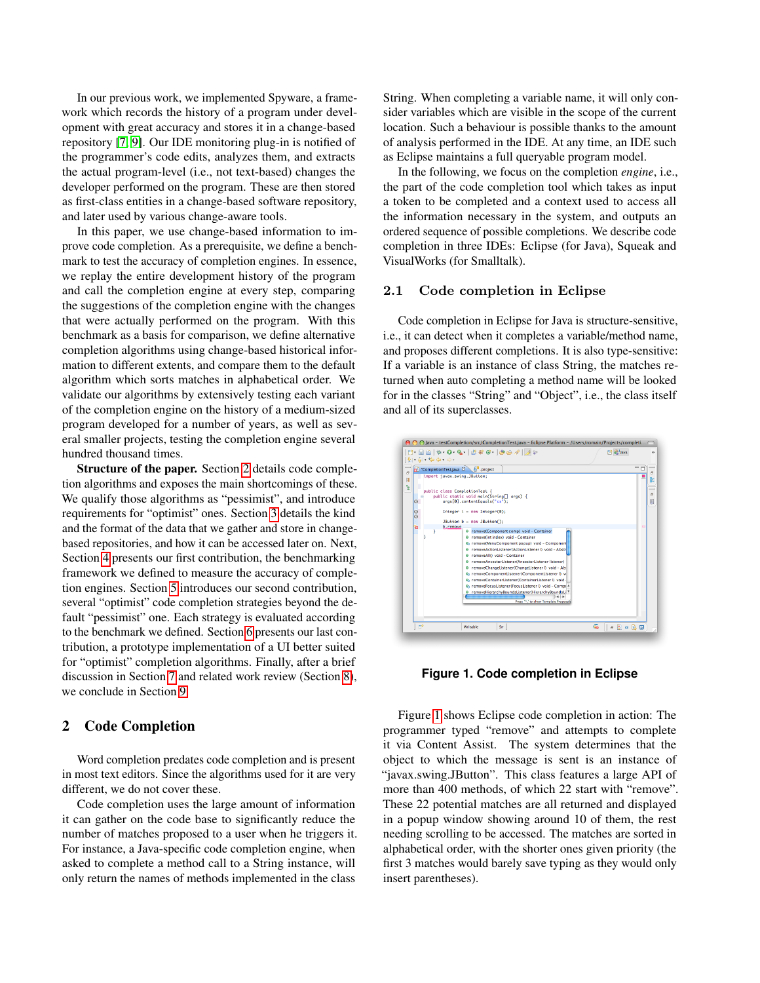In our previous work, we implemented Spyware, a framework which records the history of a program under development with great accuracy and stores it in a change-based repository [\[7,](#page-9-1) [9\]](#page-9-2). Our IDE monitoring plug-in is notified of the programmer's code edits, analyzes them, and extracts the actual program-level (i.e., not text-based) changes the developer performed on the program. These are then stored as first-class entities in a change-based software repository, and later used by various change-aware tools.

In this paper, we use change-based information to improve code completion. As a prerequisite, we define a benchmark to test the accuracy of completion engines. In essence, we replay the entire development history of the program and call the completion engine at every step, comparing the suggestions of the completion engine with the changes that were actually performed on the program. With this benchmark as a basis for comparison, we define alternative completion algorithms using change-based historical information to different extents, and compare them to the default algorithm which sorts matches in alphabetical order. We validate our algorithms by extensively testing each variant of the completion engine on the history of a medium-sized program developed for a number of years, as well as several smaller projects, testing the completion engine several hundred thousand times.

Structure of the paper. Section [2](#page-1-0) details code completion algorithms and exposes the main shortcomings of these. We qualify those algorithms as "pessimist", and introduce requirements for "optimist" ones. Section [3](#page-2-0) details the kind and the format of the data that we gather and store in changebased repositories, and how it can be accessed later on. Next, Section [4](#page-3-0) presents our first contribution, the benchmarking framework we defined to measure the accuracy of completion engines. Section [5](#page-5-0) introduces our second contribution, several "optimist" code completion strategies beyond the default "pessimist" one. Each strategy is evaluated according to the benchmark we defined. Section [6](#page-8-0) presents our last contribution, a prototype implementation of a UI better suited for "optimist" completion algorithms. Finally, after a brief discussion in Section [7](#page-8-1) and related work review (Section [8\)](#page-9-3), we conclude in Section [9.](#page-9-4)

# <span id="page-1-0"></span>2 Code Completion

Word completion predates code completion and is present in most text editors. Since the algorithms used for it are very different, we do not cover these.

Code completion uses the large amount of information it can gather on the code base to significantly reduce the number of matches proposed to a user when he triggers it. For instance, a Java-specific code completion engine, when asked to complete a method call to a String instance, will only return the names of methods implemented in the class

String. When completing a variable name, it will only consider variables which are visible in the scope of the current location. Such a behaviour is possible thanks to the amount of analysis performed in the IDE. At any time, an IDE such as Eclipse maintains a full queryable program model.

In the following, we focus on the completion *engine*, i.e., the part of the code completion tool which takes as input a token to be completed and a context used to access all the information necessary in the system, and outputs an ordered sequence of possible completions. We describe code completion in three IDEs: Eclipse (for Java), Squeak and VisualWorks (for Smalltalk).

# 2.1 Code completion in Eclipse

Code completion in Eclipse for Java is structure-sensitive, i.e., it can detect when it completes a variable/method name, and proposes different completions. It is also type-sensitive: If a variable is an instance of class String, the matches returned when auto completing a method name will be looked for in the classes "String" and "Object", i.e., the class itself and all of its superclasses.



<span id="page-1-1"></span>**Figure 1. Code completion in Eclipse**

Figure [1](#page-1-1) shows Eclipse code completion in action: The programmer typed "remove" and attempts to complete it via Content Assist. The system determines that the object to which the message is sent is an instance of "javax.swing.JButton". This class features a large API of more than 400 methods, of which 22 start with "remove". These 22 potential matches are all returned and displayed in a popup window showing around 10 of them, the rest needing scrolling to be accessed. The matches are sorted in alphabetical order, with the shorter ones given priority (the first 3 matches would barely save typing as they would only insert parentheses).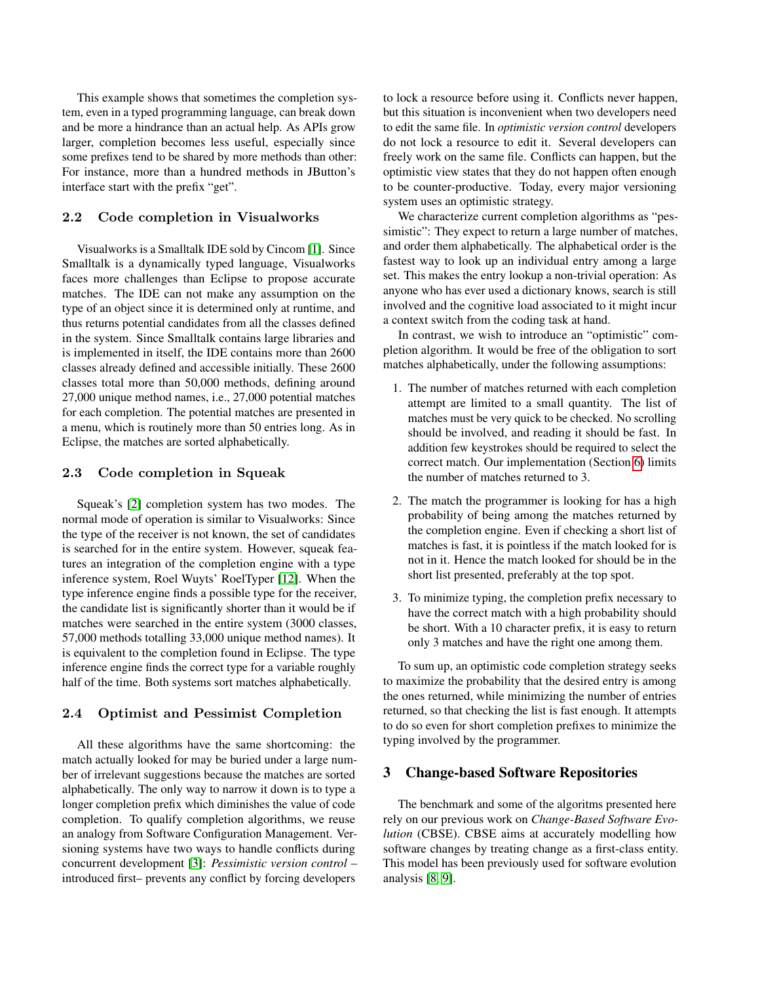This example shows that sometimes the completion system, even in a typed programming language, can break down and be more a hindrance than an actual help. As APIs grow larger, completion becomes less useful, especially since some prefixes tend to be shared by more methods than other: For instance, more than a hundred methods in JButton's interface start with the prefix "get".

## 2.2 Code completion in Visualworks

Visualworks is a Smalltalk IDE sold by Cincom [\[1\]](#page-9-5). Since Smalltalk is a dynamically typed language, Visualworks faces more challenges than Eclipse to propose accurate matches. The IDE can not make any assumption on the type of an object since it is determined only at runtime, and thus returns potential candidates from all the classes defined in the system. Since Smalltalk contains large libraries and is implemented in itself, the IDE contains more than 2600 classes already defined and accessible initially. These 2600 classes total more than 50,000 methods, defining around 27,000 unique method names, i.e., 27,000 potential matches for each completion. The potential matches are presented in a menu, which is routinely more than 50 entries long. As in Eclipse, the matches are sorted alphabetically.

#### 2.3 Code completion in Squeak

Squeak's [\[2\]](#page-9-6) completion system has two modes. The normal mode of operation is similar to Visualworks: Since the type of the receiver is not known, the set of candidates is searched for in the entire system. However, squeak features an integration of the completion engine with a type inference system, Roel Wuyts' RoelTyper [\[12\]](#page-9-7). When the type inference engine finds a possible type for the receiver, the candidate list is significantly shorter than it would be if matches were searched in the entire system (3000 classes, 57,000 methods totalling 33,000 unique method names). It is equivalent to the completion found in Eclipse. The type inference engine finds the correct type for a variable roughly half of the time. Both systems sort matches alphabetically.

## 2.4 Optimist and Pessimist Completion

All these algorithms have the same shortcoming: the match actually looked for may be buried under a large number of irrelevant suggestions because the matches are sorted alphabetically. The only way to narrow it down is to type a longer completion prefix which diminishes the value of code completion. To qualify completion algorithms, we reuse an analogy from Software Configuration Management. Versioning systems have two ways to handle conflicts during concurrent development [\[3\]](#page-9-8): *Pessimistic version control* – introduced first– prevents any conflict by forcing developers

to lock a resource before using it. Conflicts never happen, but this situation is inconvenient when two developers need to edit the same file. In *optimistic version control* developers do not lock a resource to edit it. Several developers can freely work on the same file. Conflicts can happen, but the optimistic view states that they do not happen often enough to be counter-productive. Today, every major versioning system uses an optimistic strategy.

We characterize current completion algorithms as "pessimistic": They expect to return a large number of matches, and order them alphabetically. The alphabetical order is the fastest way to look up an individual entry among a large set. This makes the entry lookup a non-trivial operation: As anyone who has ever used a dictionary knows, search is still involved and the cognitive load associated to it might incur a context switch from the coding task at hand.

In contrast, we wish to introduce an "optimistic" completion algorithm. It would be free of the obligation to sort matches alphabetically, under the following assumptions:

- 1. The number of matches returned with each completion attempt are limited to a small quantity. The list of matches must be very quick to be checked. No scrolling should be involved, and reading it should be fast. In addition few keystrokes should be required to select the correct match. Our implementation (Section [6\)](#page-8-0) limits the number of matches returned to 3.
- 2. The match the programmer is looking for has a high probability of being among the matches returned by the completion engine. Even if checking a short list of matches is fast, it is pointless if the match looked for is not in it. Hence the match looked for should be in the short list presented, preferably at the top spot.
- 3. To minimize typing, the completion prefix necessary to have the correct match with a high probability should be short. With a 10 character prefix, it is easy to return only 3 matches and have the right one among them.

To sum up, an optimistic code completion strategy seeks to maximize the probability that the desired entry is among the ones returned, while minimizing the number of entries returned, so that checking the list is fast enough. It attempts to do so even for short completion prefixes to minimize the typing involved by the programmer.

# <span id="page-2-0"></span>3 Change-based Software Repositories

The benchmark and some of the algoritms presented here rely on our previous work on *Change-Based Software Evolution* (CBSE). CBSE aims at accurately modelling how software changes by treating change as a first-class entity. This model has been previously used for software evolution analysis [\[8,](#page-9-9) [9\]](#page-9-2).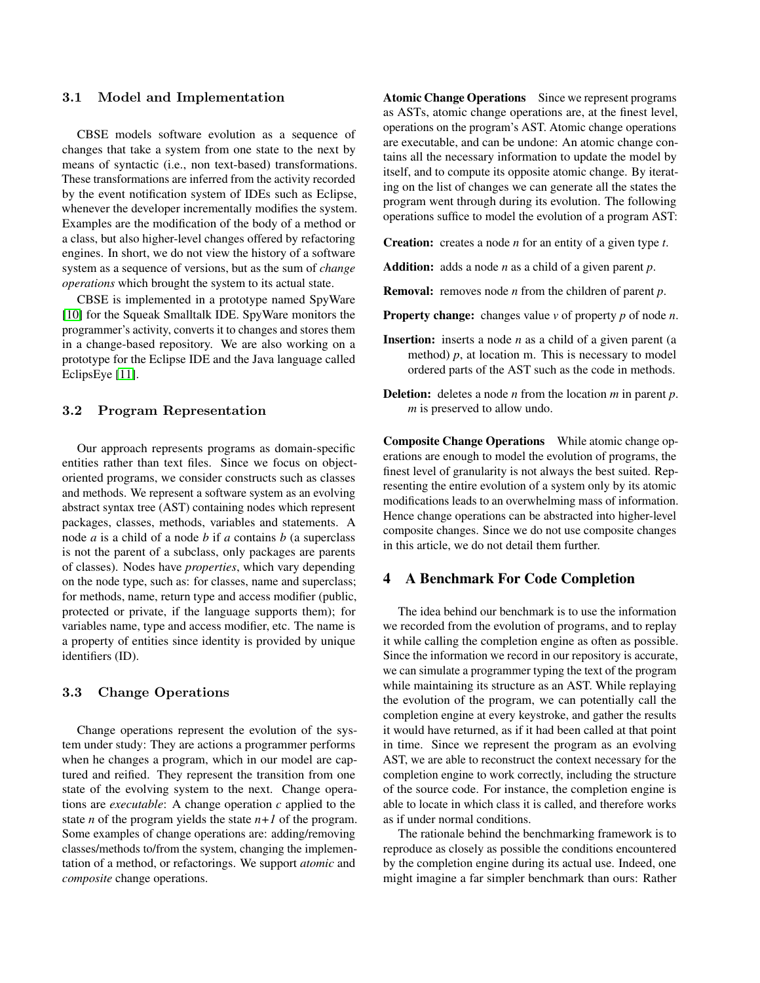## 3.1 Model and Implementation

CBSE models software evolution as a sequence of changes that take a system from one state to the next by means of syntactic (i.e., non text-based) transformations. These transformations are inferred from the activity recorded by the event notification system of IDEs such as Eclipse, whenever the developer incrementally modifies the system. Examples are the modification of the body of a method or a class, but also higher-level changes offered by refactoring engines. In short, we do not view the history of a software system as a sequence of versions, but as the sum of *change operations* which brought the system to its actual state.

CBSE is implemented in a prototype named SpyWare [\[10\]](#page-9-10) for the Squeak Smalltalk IDE. SpyWare monitors the programmer's activity, converts it to changes and stores them in a change-based repository. We are also working on a prototype for the Eclipse IDE and the Java language called EclipsEye [\[11\]](#page-9-11).

## 3.2 Program Representation

Our approach represents programs as domain-specific entities rather than text files. Since we focus on objectoriented programs, we consider constructs such as classes and methods. We represent a software system as an evolving abstract syntax tree (AST) containing nodes which represent packages, classes, methods, variables and statements. A node *a* is a child of a node *b* if *a* contains *b* (a superclass is not the parent of a subclass, only packages are parents of classes). Nodes have *properties*, which vary depending on the node type, such as: for classes, name and superclass; for methods, name, return type and access modifier (public, protected or private, if the language supports them); for variables name, type and access modifier, etc. The name is a property of entities since identity is provided by unique identifiers (ID).

# 3.3 Change Operations

Change operations represent the evolution of the system under study: They are actions a programmer performs when he changes a program, which in our model are captured and reified. They represent the transition from one state of the evolving system to the next. Change operations are *executable*: A change operation *c* applied to the state *n* of the program yields the state  $n+1$  of the program. Some examples of change operations are: adding/removing classes/methods to/from the system, changing the implementation of a method, or refactorings. We support *atomic* and *composite* change operations.

Atomic Change Operations Since we represent programs as ASTs, atomic change operations are, at the finest level, operations on the program's AST. Atomic change operations are executable, and can be undone: An atomic change contains all the necessary information to update the model by itself, and to compute its opposite atomic change. By iterating on the list of changes we can generate all the states the program went through during its evolution. The following operations suffice to model the evolution of a program AST:

Creation: creates a node *n* for an entity of a given type *t*.

Addition: adds a node *n* as a child of a given parent *p*.

Removal: removes node *n* from the children of parent *p*.

Property change: changes value *v* of property *p* of node *n*.

- Insertion: inserts a node *n* as a child of a given parent (a method)  $p$ , at location m. This is necessary to model ordered parts of the AST such as the code in methods.
- Deletion: deletes a node *n* from the location *m* in parent *p*. *m* is preserved to allow undo.

Composite Change Operations While atomic change operations are enough to model the evolution of programs, the finest level of granularity is not always the best suited. Representing the entire evolution of a system only by its atomic modifications leads to an overwhelming mass of information. Hence change operations can be abstracted into higher-level composite changes. Since we do not use composite changes in this article, we do not detail them further.

## <span id="page-3-0"></span>4 A Benchmark For Code Completion

The idea behind our benchmark is to use the information we recorded from the evolution of programs, and to replay it while calling the completion engine as often as possible. Since the information we record in our repository is accurate, we can simulate a programmer typing the text of the program while maintaining its structure as an AST. While replaying the evolution of the program, we can potentially call the completion engine at every keystroke, and gather the results it would have returned, as if it had been called at that point in time. Since we represent the program as an evolving AST, we are able to reconstruct the context necessary for the completion engine to work correctly, including the structure of the source code. For instance, the completion engine is able to locate in which class it is called, and therefore works as if under normal conditions.

The rationale behind the benchmarking framework is to reproduce as closely as possible the conditions encountered by the completion engine during its actual use. Indeed, one might imagine a far simpler benchmark than ours: Rather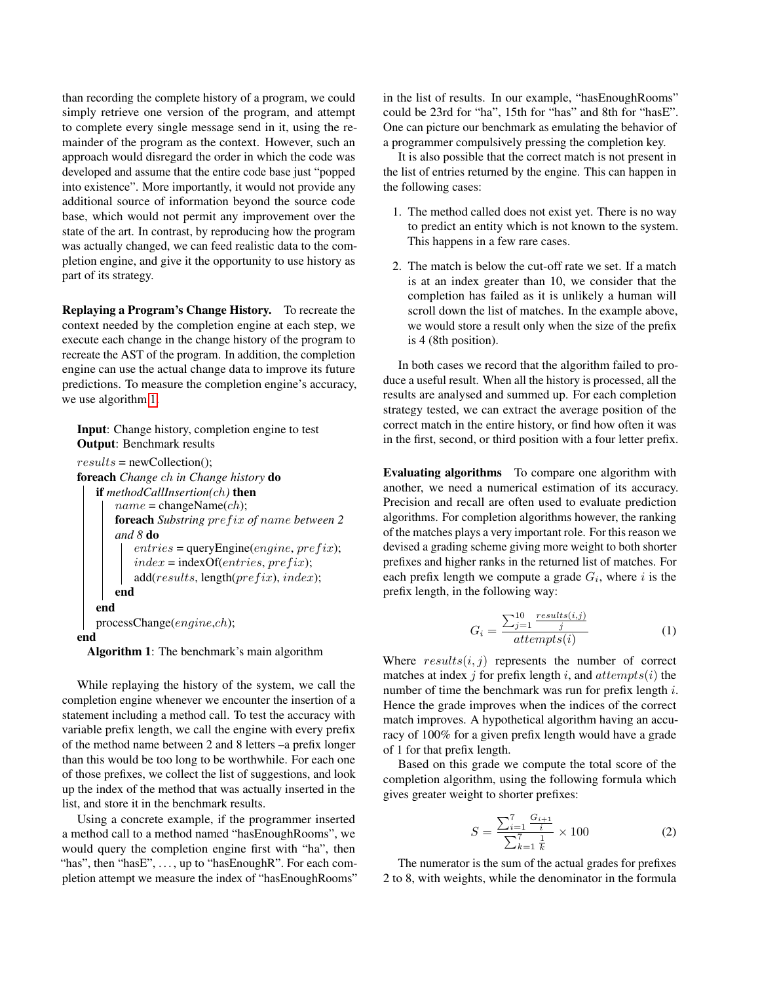than recording the complete history of a program, we could simply retrieve one version of the program, and attempt to complete every single message send in it, using the remainder of the program as the context. However, such an approach would disregard the order in which the code was developed and assume that the entire code base just "popped into existence". More importantly, it would not provide any additional source of information beyond the source code base, which would not permit any improvement over the state of the art. In contrast, by reproducing how the program was actually changed, we can feed realistic data to the completion engine, and give it the opportunity to use history as part of its strategy.

Replaying a Program's Change History. To recreate the context needed by the completion engine at each step, we execute each change in the change history of the program to recreate the AST of the program. In addition, the completion engine can use the actual change data to improve its future predictions. To measure the completion engine's accuracy, we use algorithm [1.](#page-4-0)

<span id="page-4-0"></span>Input: Change history, completion engine to test Output: Benchmark results

```
results = newCollection();foreach Change ch in Change history do
   if methodCallInsertion(ch) then
       name = changeName(ch);foreach Substring pref ix of name between 2
       and 8 do
          entries = queryEngineering(engine, prefix);index = indexOf(entries, prefix);add(results, length(prefix), index);end
   end
   processChange(engine,ch);
end
```
Algorithm 1: The benchmark's main algorithm

While replaying the history of the system, we call the completion engine whenever we encounter the insertion of a statement including a method call. To test the accuracy with variable prefix length, we call the engine with every prefix of the method name between 2 and 8 letters –a prefix longer than this would be too long to be worthwhile. For each one of those prefixes, we collect the list of suggestions, and look up the index of the method that was actually inserted in the list, and store it in the benchmark results.

Using a concrete example, if the programmer inserted a method call to a method named "hasEnoughRooms", we would query the completion engine first with "ha", then "has", then "hasE", ..., up to "hasEnoughR". For each completion attempt we measure the index of "hasEnoughRooms" in the list of results. In our example, "hasEnoughRooms" could be 23rd for "ha", 15th for "has" and 8th for "hasE". One can picture our benchmark as emulating the behavior of a programmer compulsively pressing the completion key.

It is also possible that the correct match is not present in the list of entries returned by the engine. This can happen in the following cases:

- 1. The method called does not exist yet. There is no way to predict an entity which is not known to the system. This happens in a few rare cases.
- 2. The match is below the cut-off rate we set. If a match is at an index greater than 10, we consider that the completion has failed as it is unlikely a human will scroll down the list of matches. In the example above, we would store a result only when the size of the prefix is 4 (8th position).

In both cases we record that the algorithm failed to produce a useful result. When all the history is processed, all the results are analysed and summed up. For each completion strategy tested, we can extract the average position of the correct match in the entire history, or find how often it was in the first, second, or third position with a four letter prefix.

Evaluating algorithms To compare one algorithm with another, we need a numerical estimation of its accuracy. Precision and recall are often used to evaluate prediction algorithms. For completion algorithms however, the ranking of the matches plays a very important role. For this reason we devised a grading scheme giving more weight to both shorter prefixes and higher ranks in the returned list of matches. For each prefix length we compute a grade  $G_i$ , where i is the prefix length, in the following way:

$$
G_i = \frac{\sum_{j=1}^{10} \frac{results(i,j)}{j}}{attemps(i)} \tag{1}
$$

Where  $results(i, j)$  represents the number of correct matches at index j for prefix length i, and  $attempts(i)$  the number of time the benchmark was run for prefix length i. Hence the grade improves when the indices of the correct match improves. A hypothetical algorithm having an accuracy of 100% for a given prefix length would have a grade of 1 for that prefix length.

Based on this grade we compute the total score of the completion algorithm, using the following formula which gives greater weight to shorter prefixes:

$$
S = \frac{\sum_{i=1}^{7} \frac{G_{i+1}}{i}}{\sum_{k=1}^{7} \frac{1}{k}} \times 100
$$
 (2)

The numerator is the sum of the actual grades for prefixes 2 to 8, with weights, while the denominator in the formula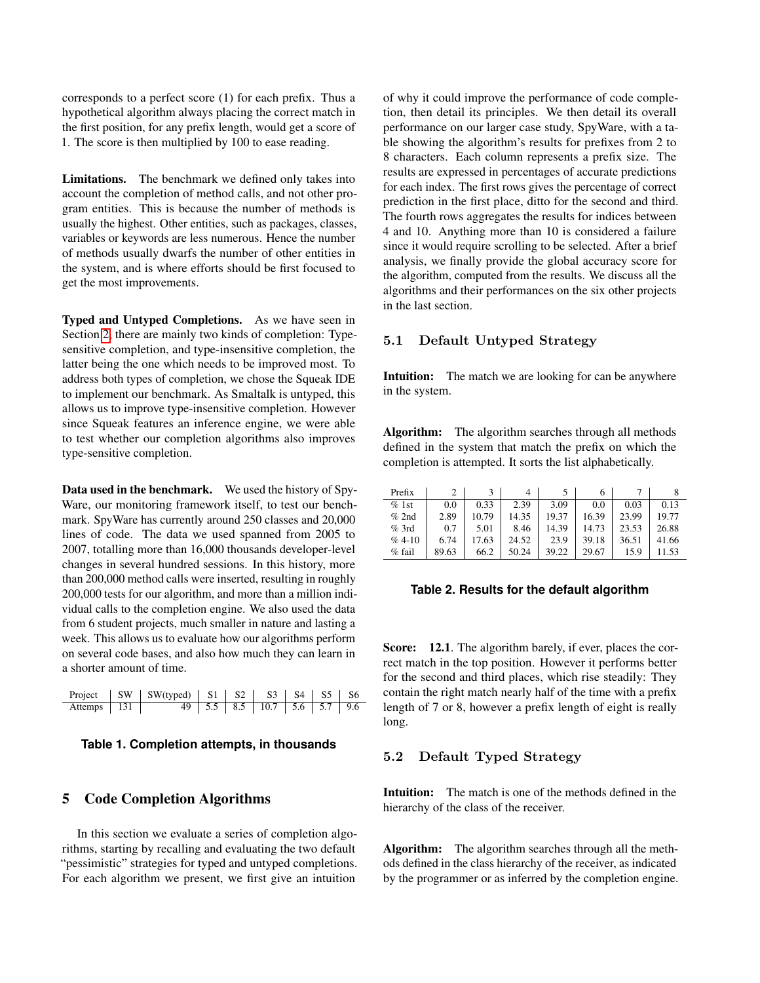corresponds to a perfect score (1) for each prefix. Thus a hypothetical algorithm always placing the correct match in the first position, for any prefix length, would get a score of 1. The score is then multiplied by 100 to ease reading.

Limitations. The benchmark we defined only takes into account the completion of method calls, and not other program entities. This is because the number of methods is usually the highest. Other entities, such as packages, classes, variables or keywords are less numerous. Hence the number of methods usually dwarfs the number of other entities in the system, and is where efforts should be first focused to get the most improvements.

Typed and Untyped Completions. As we have seen in Section [2,](#page-1-0) there are mainly two kinds of completion: Typesensitive completion, and type-insensitive completion, the latter being the one which needs to be improved most. To address both types of completion, we chose the Squeak IDE to implement our benchmark. As Smaltalk is untyped, this allows us to improve type-insensitive completion. However since Squeak features an inference engine, we were able to test whether our completion algorithms also improves type-sensitive completion.

Data used in the benchmark. We used the history of Spy-Ware, our monitoring framework itself, to test our benchmark. SpyWare has currently around 250 classes and 20,000 lines of code. The data we used spanned from 2005 to 2007, totalling more than 16,000 thousands developer-level changes in several hundred sessions. In this history, more than 200,000 method calls were inserted, resulting in roughly 200,000 tests for our algorithm, and more than a million individual calls to the completion engine. We also used the data from 6 student projects, much smaller in nature and lasting a week. This allows us to evaluate how our algorithms perform on several code bases, and also how much they can learn in a shorter amount of time.

|                             | Project   SW   SW(typed)   S1   S2   S3   S4   S5   S6 |  |                                         |  |  |
|-----------------------------|--------------------------------------------------------|--|-----------------------------------------|--|--|
| Attemps $\vert$ 131 $\vert$ |                                                        |  | 49   5.5   8.5   10.7   5.6   5.7   9.6 |  |  |



# <span id="page-5-0"></span>5 Code Completion Algorithms

In this section we evaluate a series of completion algorithms, starting by recalling and evaluating the two default "pessimistic" strategies for typed and untyped completions. For each algorithm we present, we first give an intuition

of why it could improve the performance of code completion, then detail its principles. We then detail its overall performance on our larger case study, SpyWare, with a table showing the algorithm's results for prefixes from 2 to 8 characters. Each column represents a prefix size. The results are expressed in percentages of accurate predictions for each index. The first rows gives the percentage of correct prediction in the first place, ditto for the second and third. The fourth rows aggregates the results for indices between 4 and 10. Anything more than 10 is considered a failure since it would require scrolling to be selected. After a brief analysis, we finally provide the global accuracy score for the algorithm, computed from the results. We discuss all the algorithms and their performances on the six other projects in the last section.

## 5.1 Default Untyped Strategy

**Intuition:** The match we are looking for can be anywhere in the system.

Algorithm: The algorithm searches through all methods defined in the system that match the prefix on which the completion is attempted. It sorts the list alphabetically.

| Prefix   | 2     |       | 4     |       | h     |       |       |
|----------|-------|-------|-------|-------|-------|-------|-------|
| %1st     | 0.0   | 0.33  | 2.39  | 3.09  | 0.0   | 0.03  | 0.13  |
| $%$ 2nd  | 2.89  | 10.79 | 14.35 | 19.37 | 16.39 | 23.99 | 19.77 |
| $%$ 3rd  | 0.7   | 5.01  | 8.46  | 14.39 | 14.73 | 23.53 | 26.88 |
| $%4-10$  | 6.74  | 17.63 | 24.52 | 23.9  | 39.18 | 36.51 | 41.66 |
| $%$ fail | 89.63 | 66.2  | 50.24 | 39.22 | 29.67 | 15.9  | 11.53 |

#### **Table 2. Results for the default algorithm**

Score: 12.1. The algorithm barely, if ever, places the correct match in the top position. However it performs better for the second and third places, which rise steadily: They contain the right match nearly half of the time with a prefix length of 7 or 8, however a prefix length of eight is really long.

# 5.2 Default Typed Strategy

Intuition: The match is one of the methods defined in the hierarchy of the class of the receiver.

Algorithm: The algorithm searches through all the methods defined in the class hierarchy of the receiver, as indicated by the programmer or as inferred by the completion engine.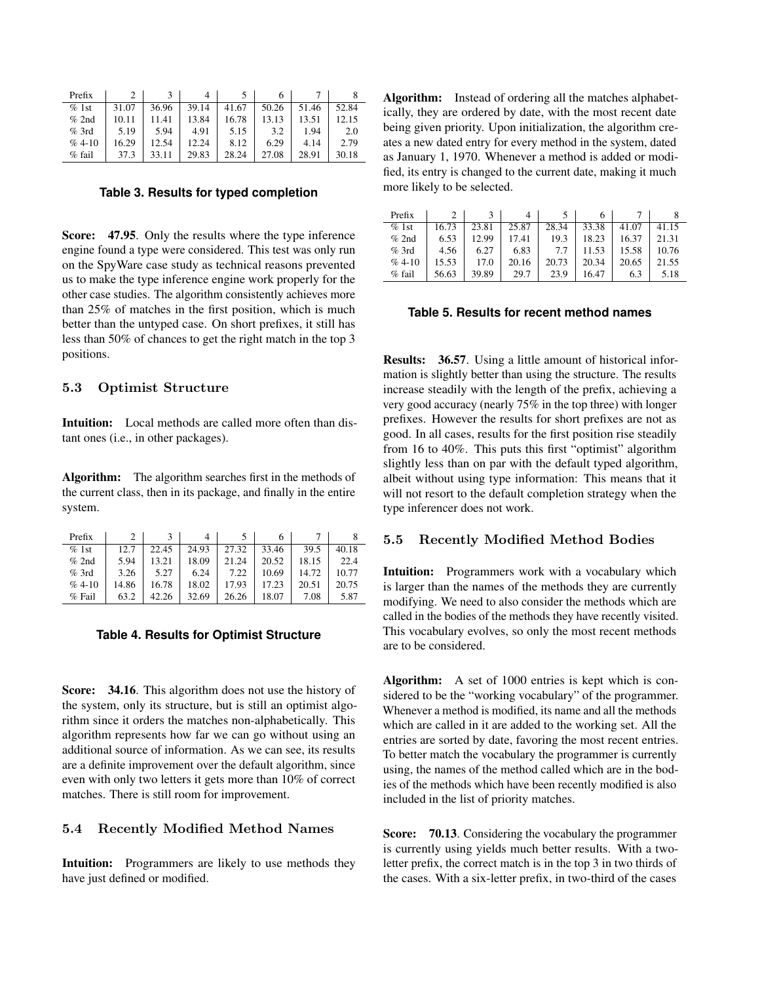| Prefix   |       |       | 4     |       | O     |       |       |
|----------|-------|-------|-------|-------|-------|-------|-------|
| %1st     | 31.07 | 36.96 | 39.14 | 41.67 | 50.26 | 51.46 | 52.84 |
| $%$ 2nd  | 10.11 | 11.41 | 13.84 | 16.78 | 13.13 | 13.51 | 12.15 |
| $%$ 3rd  | 5.19  | 5.94  | 4.91  | 5.15  | 3.2   | 1.94  | 2.0   |
| $%4-10$  | 16.29 | 12.54 | 12.24 | 8.12  | 6.29  | 4.14  | 2.79  |
| $%$ fail | 37.3  | 33.11 | 29.83 | 28.24 | 27.08 | 28.91 | 30.18 |

#### **Table 3. Results for typed completion**

Score: 47.95. Only the results where the type inference engine found a type were considered. This test was only run on the SpyWare case study as technical reasons prevented us to make the type inference engine work properly for the other case studies. The algorithm consistently achieves more than 25% of matches in the first position, which is much better than the untyped case. On short prefixes, it still has less than 50% of chances to get the right match in the top 3 positions.

# 5.3 Optimist Structure

Intuition: Local methods are called more often than distant ones (i.e., in other packages).

Algorithm: The algorithm searches first in the methods of the current class, then in its package, and finally in the entire system.

| Prefix   |       |       | 4     |       |       |       |       |
|----------|-------|-------|-------|-------|-------|-------|-------|
| %1st     | 12.7  | 22.45 | 24.93 | 27.32 | 33.46 | 39.5  | 40.18 |
| $%$ 2nd  | 5.94  | 13.21 | 18.09 | 21.24 | 20.52 | 18.15 | 22.4  |
| $%$ 3rd  | 3.26  | 5.27  | 6.24  | 7.22  | 10.69 | 14.72 | 10.77 |
| $%4-10$  | 14.86 | 16.78 | 18.02 | 17.93 | 17.23 | 20.51 | 20.75 |
| $%$ Fail | 63.2  | 42.26 | 32.69 | 26.26 | 18.07 | 7.08  | 5.87  |

#### **Table 4. Results for Optimist Structure**

Score: 34.16. This algorithm does not use the history of the system, only its structure, but is still an optimist algorithm since it orders the matches non-alphabetically. This algorithm represents how far we can go without using an additional source of information. As we can see, its results are a definite improvement over the default algorithm, since even with only two letters it gets more than 10% of correct matches. There is still room for improvement.

## 5.4 Recently Modified Method Names

Intuition: Programmers are likely to use methods they have just defined or modified.

Algorithm: Instead of ordering all the matches alphabetically, they are ordered by date, with the most recent date being given priority. Upon initialization, the algorithm creates a new dated entry for every method in the system, dated as January 1, 1970. Whenever a method is added or modified, its entry is changed to the current date, making it much more likely to be selected.

| Prefix   | 2     | 3     | 4     |       | h     |       |       |
|----------|-------|-------|-------|-------|-------|-------|-------|
| %1st     | 16.73 | 23.81 | 25.87 | 28.34 | 33.38 | 41.07 | 41.15 |
| $%$ 2nd  | 6.53  | 12.99 | 17.41 | 19.3  | 18.23 | 16.37 | 21.31 |
| $%$ 3rd  | 4.56  | 6.27  | 6.83  | 7.7   | 11.53 | 15.58 | 10.76 |
| $%4-10$  | 15.53 | 17.0  | 20.16 | 20.73 | 20.34 | 20.65 | 21.55 |
| $%$ fail | 56.63 | 39.89 | 29.7  | 23.9  | 16.47 | 6.3   | 5.18  |

#### **Table 5. Results for recent method names**

Results: 36.57. Using a little amount of historical information is slightly better than using the structure. The results increase steadily with the length of the prefix, achieving a very good accuracy (nearly 75% in the top three) with longer prefixes. However the results for short prefixes are not as good. In all cases, results for the first position rise steadily from 16 to 40%. This puts this first "optimist" algorithm slightly less than on par with the default typed algorithm, albeit without using type information: This means that it will not resort to the default completion strategy when the type inferencer does not work.

#### 5.5 Recently Modified Method Bodies

Intuition: Programmers work with a vocabulary which is larger than the names of the methods they are currently modifying. We need to also consider the methods which are called in the bodies of the methods they have recently visited. This vocabulary evolves, so only the most recent methods are to be considered.

Algorithm: A set of 1000 entries is kept which is considered to be the "working vocabulary" of the programmer. Whenever a method is modified, its name and all the methods which are called in it are added to the working set. All the entries are sorted by date, favoring the most recent entries. To better match the vocabulary the programmer is currently using, the names of the method called which are in the bodies of the methods which have been recently modified is also included in the list of priority matches.

Score: 70.13. Considering the vocabulary the programmer is currently using yields much better results. With a twoletter prefix, the correct match is in the top 3 in two thirds of the cases. With a six-letter prefix, in two-third of the cases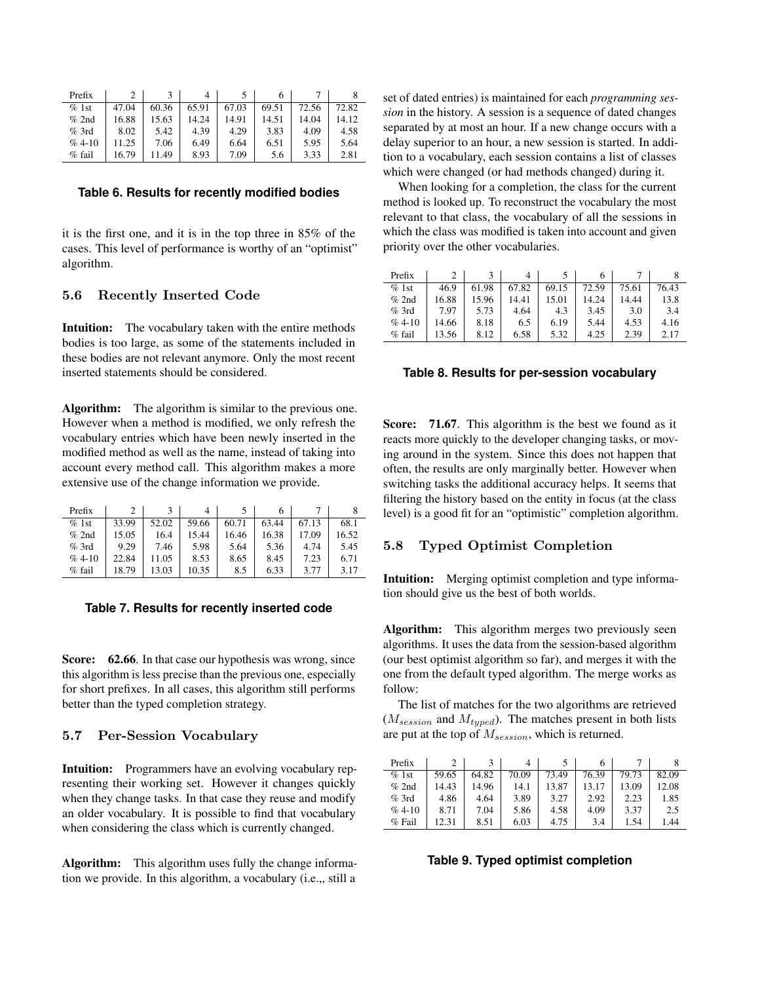| Prefix   | 2     |       | 4     |       | o     |       |       |
|----------|-------|-------|-------|-------|-------|-------|-------|
| %1st     | 47.04 | 60.36 | 65.91 | 67.03 | 69.51 | 72.56 | 72.82 |
| $%$ 2nd  | 16.88 | 15.63 | 14.24 | 14.91 | 14.51 | 14.04 | 14.12 |
| $%$ 3rd  | 8.02  | 5.42  | 4.39  | 4.29  | 3.83  | 4.09  | 4.58  |
| $%4-10$  | 11.25 | 7.06  | 6.49  | 6.64  | 6.51  | 5.95  | 5.64  |
| $%$ fail | 16.79 | 11.49 | 8.93  | 7.09  | 5.6   | 3.33  | 2.81  |

#### **Table 6. Results for recently modified bodies**

it is the first one, and it is in the top three in 85% of the cases. This level of performance is worthy of an "optimist" algorithm.

## 5.6 Recently Inserted Code

Intuition: The vocabulary taken with the entire methods bodies is too large, as some of the statements included in these bodies are not relevant anymore. Only the most recent inserted statements should be considered.

Algorithm: The algorithm is similar to the previous one. However when a method is modified, we only refresh the vocabulary entries which have been newly inserted in the modified method as well as the name, instead of taking into account every method call. This algorithm makes a more extensive use of the change information we provide.

| Prefix   |       |       | 4     |       |       |       |       |
|----------|-------|-------|-------|-------|-------|-------|-------|
| %1st     | 33.99 | 52.02 | 59.66 | 60.71 | 63.44 | 67.13 | 68.1  |
| $%$ 2nd  | 15.05 | 16.4  | 15.44 | 16.46 | 16.38 | 17.09 | 16.52 |
| $%$ 3rd  | 9.29  | 7.46  | 5.98  | 5.64  | 5.36  | 4.74  | 5.45  |
| $%4-10$  | 22.84 | 11.05 | 8.53  | 8.65  | 8.45  | 7.23  | 6.71  |
| $%$ fail | 18.79 | 13.03 | 10.35 | 8.5   | 6.33  | 3.77  | 3.17  |

## **Table 7. Results for recently inserted code**

Score: 62.66. In that case our hypothesis was wrong, since this algorithm is less precise than the previous one, especially for short prefixes. In all cases, this algorithm still performs better than the typed completion strategy.

## 5.7 Per-Session Vocabulary

Intuition: Programmers have an evolving vocabulary representing their working set. However it changes quickly when they change tasks. In that case they reuse and modify an older vocabulary. It is possible to find that vocabulary when considering the class which is currently changed.

Algorithm: This algorithm uses fully the change information we provide. In this algorithm, a vocabulary (i.e.,, still a

set of dated entries) is maintained for each *programming session* in the history. A session is a sequence of dated changes separated by at most an hour. If a new change occurs with a delay superior to an hour, a new session is started. In addition to a vocabulary, each session contains a list of classes which were changed (or had methods changed) during it.

When looking for a completion, the class for the current method is looked up. To reconstruct the vocabulary the most relevant to that class, the vocabulary of all the sessions in which the class was modified is taken into account and given priority over the other vocabularies.

| Prefix   |       |       | 4     |       | O     |       |       |
|----------|-------|-------|-------|-------|-------|-------|-------|
| %1st     | 46.9  | 61.98 | 67.82 | 69.15 | 72.59 | 75.61 | 76.43 |
| $%$ 2nd  | 16.88 | 15.96 | 14.41 | 15.01 | 14.24 | 14.44 | 13.8  |
| $%$ 3rd  | 7.97  | 5.73  | 4.64  | 4.3   | 3.45  | 3.0   | 3.4   |
| $%4-10$  | 14.66 | 8.18  | 6.5   | 6.19  | 5.44  | 4.53  | 4.16  |
| $%$ fail | 13.56 | 8.12  | 6.58  | 5.32  | 4.25  | 2.39  | 2.17  |

#### **Table 8. Results for per-session vocabulary**

Score: 71.67. This algorithm is the best we found as it reacts more quickly to the developer changing tasks, or moving around in the system. Since this does not happen that often, the results are only marginally better. However when switching tasks the additional accuracy helps. It seems that filtering the history based on the entity in focus (at the class level) is a good fit for an "optimistic" completion algorithm.

# 5.8 Typed Optimist Completion

Intuition: Merging optimist completion and type information should give us the best of both worlds.

Algorithm: This algorithm merges two previously seen algorithms. It uses the data from the session-based algorithm (our best optimist algorithm so far), and merges it with the one from the default typed algorithm. The merge works as follow:

The list of matches for the two algorithms are retrieved  $(M_{session}$  and  $M_{twoed})$ . The matches present in both lists are put at the top of  $M_{session}$ , which is returned.

| Prefix   |       |       | 4     |       | O     |       |       |
|----------|-------|-------|-------|-------|-------|-------|-------|
| %1st     | 59.65 | 64.82 | 70.09 | 73.49 | 76.39 | 79.73 | 82.09 |
| $%$ 2nd  | 14.43 | 14.96 | 14.1  | 13.87 | 13.17 | 13.09 | 12.08 |
| $%$ 3rd  | 4.86  | 4.64  | 3.89  | 3.27  | 2.92  | 2.23  | 1.85  |
| $%4-10$  | 8.71  | 7.04  | 5.86  | 4.58  | 4.09  | 3.37  | 2.5   |
| $%$ Fail | 12.31 | 8.51  | 6.03  | 4.75  | 3.4   | 1.54  | 1.44  |

#### **Table 9. Typed optimist completion**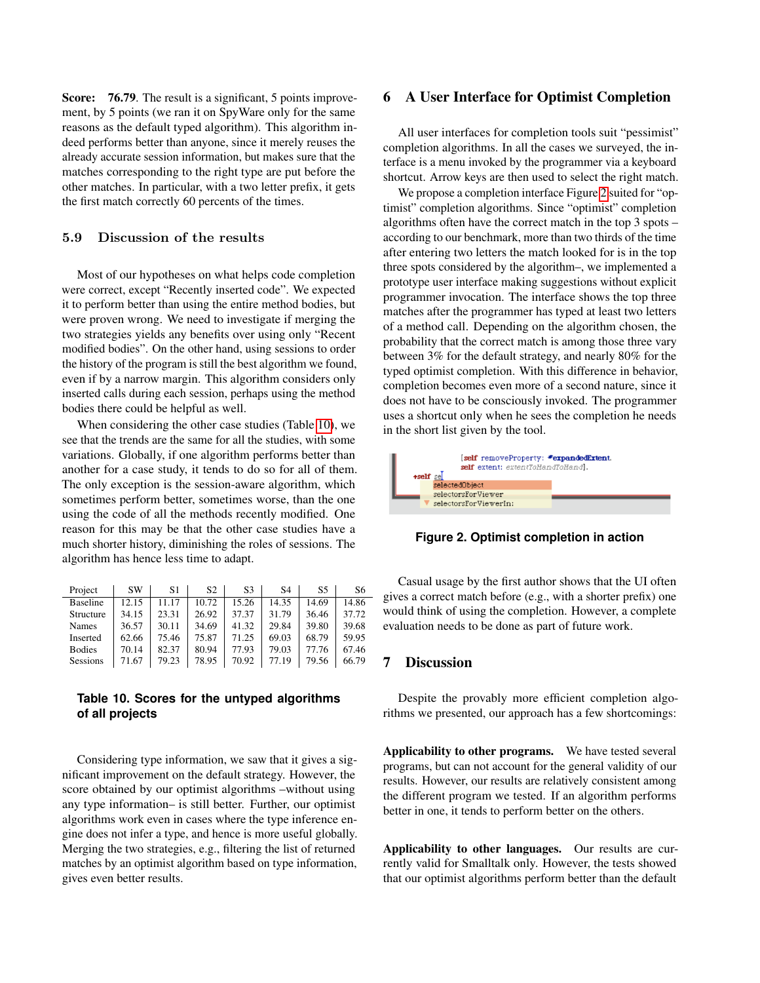Score: 76.79. The result is a significant, 5 points improvement, by 5 points (we ran it on SpyWare only for the same reasons as the default typed algorithm). This algorithm indeed performs better than anyone, since it merely reuses the already accurate session information, but makes sure that the matches corresponding to the right type are put before the other matches. In particular, with a two letter prefix, it gets the first match correctly 60 percents of the times.

# 5.9 Discussion of the results

Most of our hypotheses on what helps code completion were correct, except "Recently inserted code". We expected it to perform better than using the entire method bodies, but were proven wrong. We need to investigate if merging the two strategies yields any benefits over using only "Recent modified bodies". On the other hand, using sessions to order the history of the program is still the best algorithm we found, even if by a narrow margin. This algorithm considers only inserted calls during each session, perhaps using the method bodies there could be helpful as well.

When considering the other case studies (Table [10\)](#page-8-2), we see that the trends are the same for all the studies, with some variations. Globally, if one algorithm performs better than another for a case study, it tends to do so for all of them. The only exception is the session-aware algorithm, which sometimes perform better, sometimes worse, than the one using the code of all the methods recently modified. One reason for this may be that the other case studies have a much shorter history, diminishing the roles of sessions. The algorithm has hence less time to adapt.

| Project         | <b>SW</b> | S1    | S <sub>2</sub> | S <sub>3</sub> | S <sub>4</sub> | S5    | S6    |
|-----------------|-----------|-------|----------------|----------------|----------------|-------|-------|
| <b>Baseline</b> | 12.15     | 11.17 | 10.72          | 15.26          | 14.35          | 14.69 | 14.86 |
| Structure       | 34.15     | 23.31 | 26.92          | 37.37          | 31.79          | 36.46 | 37.72 |
| <b>Names</b>    | 36.57     | 30.11 | 34.69          | 41.32          | 29.84          | 39.80 | 39.68 |
| Inserted        | 62.66     | 75.46 | 75.87          | 71.25          | 69.03          | 68.79 | 59.95 |
| <b>Bodies</b>   | 70.14     | 82.37 | 80.94          | 77.93          | 79.03          | 77.76 | 67.46 |
| Sessions        | 71.67     | 79.23 | 78.95          | 70.92          | 77.19          | 79.56 | 66.79 |

# <span id="page-8-2"></span>**Table 10. Scores for the untyped algorithms of all projects**

Considering type information, we saw that it gives a significant improvement on the default strategy. However, the score obtained by our optimist algorithms –without using any type information– is still better. Further, our optimist algorithms work even in cases where the type inference engine does not infer a type, and hence is more useful globally. Merging the two strategies, e.g., filtering the list of returned matches by an optimist algorithm based on type information, gives even better results.

## <span id="page-8-0"></span>6 A User Interface for Optimist Completion

All user interfaces for completion tools suit "pessimist" completion algorithms. In all the cases we surveyed, the interface is a menu invoked by the programmer via a keyboard shortcut. Arrow keys are then used to select the right match.

We propose a completion interface Figure [2](#page-8-3) suited for "optimist" completion algorithms. Since "optimist" completion algorithms often have the correct match in the top 3 spots – according to our benchmark, more than two thirds of the time after entering two letters the match looked for is in the top three spots considered by the algorithm–, we implemented a prototype user interface making suggestions without explicit programmer invocation. The interface shows the top three matches after the programmer has typed at least two letters of a method call. Depending on the algorithm chosen, the probability that the correct match is among those three vary between 3% for the default strategy, and nearly 80% for the typed optimist completion. With this difference in behavior, completion becomes even more of a second nature, since it does not have to be consciously invoked. The programmer uses a shortcut only when he sees the completion he needs in the short list given by the tool.



<span id="page-8-3"></span>**Figure 2. Optimist completion in action**

Casual usage by the first author shows that the UI often - gives a correct match before (e.g., with a shorter prefix) one would think of using the completion. However, a complete evaluation needs to be done as part of future work.

# <span id="page-8-1"></span>7 Discussion

Despite the provably more efficient completion algorithms we presented, our approach has a few shortcomings:

Applicability to other programs. We have tested several programs, but can not account for the general validity of our results. However, our results are relatively consistent among the different program we tested. If an algorithm performs better in one, it tends to perform better on the others.

Applicability to other languages. Our results are currently valid for Smalltalk only. However, the tests showed that our optimist algorithms perform better than the default